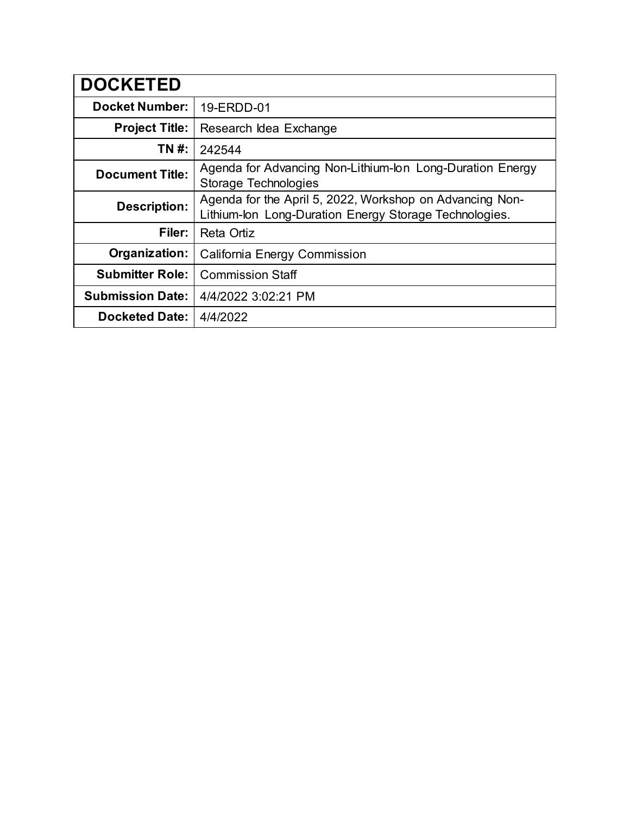| <b>DOCKETED</b>         |                                                                                                                    |
|-------------------------|--------------------------------------------------------------------------------------------------------------------|
| <b>Docket Number:</b>   | 19-ERDD-01                                                                                                         |
| <b>Project Title:</b>   | Research Idea Exchange                                                                                             |
| TN #:                   | 242544                                                                                                             |
| <b>Document Title:</b>  | Agenda for Advancing Non-Lithium-Ion Long-Duration Energy<br>Storage Technologies                                  |
| <b>Description:</b>     | Agenda for the April 5, 2022, Workshop on Advancing Non-<br>Lithium-Ion Long-Duration Energy Storage Technologies. |
| Filer:                  | Reta Ortiz                                                                                                         |
| Organization:           | California Energy Commission                                                                                       |
| <b>Submitter Role:</b>  | <b>Commission Staff</b>                                                                                            |
| <b>Submission Date:</b> | 4/4/2022 3:02:21 PM                                                                                                |
| <b>Docketed Date:</b>   | 4/4/2022                                                                                                           |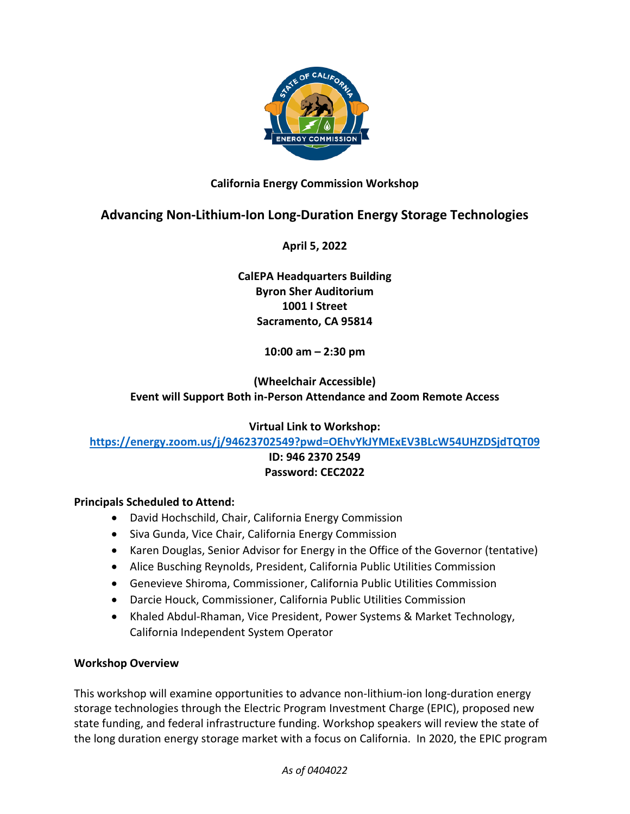

### **California Energy Commission Workshop**

# **Advancing Non-Lithium-Ion Long-Duration Energy Storage Technologies**

**April 5, 2022** 

### **CalEPA Headquarters Building Byron Sher Auditorium 1001 I Street Sacramento, CA 95814**

**10:00 am – 2:30 pm**

## **(Wheelchair Accessible) Event will Support Both in-Person Attendance and Zoom Remote Access**

**Virtual Link to Workshop:** 

**<https://energy.zoom.us/j/94623702549?pwd=OEhvYkJYMExEV3BLcW54UHZDSjdTQT09>**

### **ID: 946 2370 2549 Password: CEC2022**

### **Principals Scheduled to Attend:**

- David Hochschild, Chair, California Energy Commission
- Siva Gunda, Vice Chair, California Energy Commission
- Karen Douglas, Senior Advisor for Energy in the Office of the Governor (tentative)
- Alice Busching Reynolds, President, California Public Utilities Commission
- Genevieve Shiroma, Commissioner, California Public Utilities Commission
- Darcie Houck, Commissioner, California Public Utilities Commission
- Khaled Abdul-Rhaman, Vice President, Power Systems & Market Technology, California Independent System Operator

### **Workshop Overview**

This workshop will examine opportunities to advance non-lithium-ion long-duration energy storage technologies through the Electric Program Investment Charge (EPIC), proposed new state funding, and federal infrastructure funding. Workshop speakers will review the state of the long duration energy storage market with a focus on California. In 2020, the EPIC program

*As of 0404022*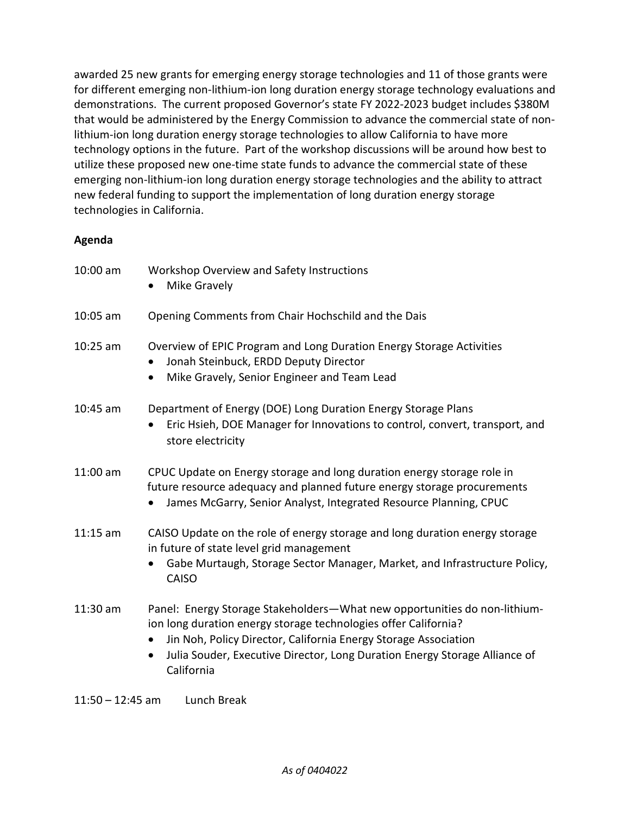awarded 25 new grants for emerging energy storage technologies and 11 of those grants were for different emerging non-lithium-ion long duration energy storage technology evaluations and demonstrations. The current proposed Governor's state FY 2022-2023 budget includes \$380M that would be administered by the Energy Commission to advance the commercial state of nonlithium-ion long duration energy storage technologies to allow California to have more technology options in the future. Part of the workshop discussions will be around how best to utilize these proposed new one-time state funds to advance the commercial state of these emerging non-lithium-ion long duration energy storage technologies and the ability to attract new federal funding to support the implementation of long duration energy storage technologies in California.

### **Agenda**

| 10:00 am   | Workshop Overview and Safety Instructions<br>Mike Gravely                                                                                                                                                                                                                                                                             |
|------------|---------------------------------------------------------------------------------------------------------------------------------------------------------------------------------------------------------------------------------------------------------------------------------------------------------------------------------------|
| $10:05$ am | Opening Comments from Chair Hochschild and the Dais                                                                                                                                                                                                                                                                                   |
| $10:25$ am | Overview of EPIC Program and Long Duration Energy Storage Activities<br>Jonah Steinbuck, ERDD Deputy Director<br>Mike Gravely, Senior Engineer and Team Lead<br>$\bullet$                                                                                                                                                             |
| $10:45$ am | Department of Energy (DOE) Long Duration Energy Storage Plans<br>Eric Hsieh, DOE Manager for Innovations to control, convert, transport, and<br>store electricity                                                                                                                                                                     |
| 11:00 am   | CPUC Update on Energy storage and long duration energy storage role in<br>future resource adequacy and planned future energy storage procurements<br>James McGarry, Senior Analyst, Integrated Resource Planning, CPUC                                                                                                                |
| $11:15$ am | CAISO Update on the role of energy storage and long duration energy storage<br>in future of state level grid management<br>Gabe Murtaugh, Storage Sector Manager, Market, and Infrastructure Policy,<br>$\bullet$<br><b>CAISO</b>                                                                                                     |
| 11:30 am   | Panel: Energy Storage Stakeholders-What new opportunities do non-lithium-<br>ion long duration energy storage technologies offer California?<br>Jin Noh, Policy Director, California Energy Storage Association<br>$\bullet$<br>Julia Souder, Executive Director, Long Duration Energy Storage Alliance of<br>$\bullet$<br>California |

11:50 – 12:45 am Lunch Break